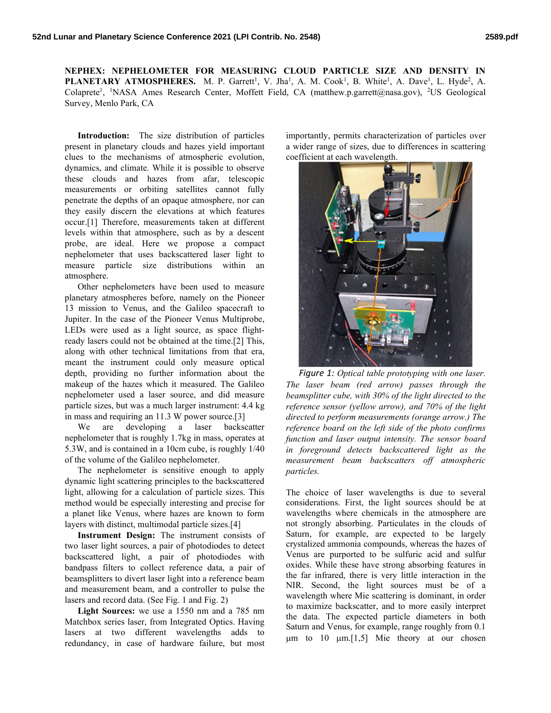NEPHEX: NEPHELOMETER FOR MEASURING CLOUD PARTICLE SIZE AND DENSITY IN **PLANETARY ATMOSPHERES.** M. P. Garrett<sup>1</sup>, V. Jha<sup>1</sup>, A. M. Cook<sup>1</sup>, B. White<sup>1</sup>, A. Dave<sup>1</sup>, L. Hyde<sup>2</sup>, A. Colaprete<sup>1</sup>, <sup>1</sup>NASA Ames Research Center, Moffett Field, CA (matthew.p.garrett@nasa.gov), <sup>2</sup>US Geological Survey, Menlo Park, CA

Introduction: The size distribution of particles present in planetary clouds and hazes yield important clues to the mechanisms of atmospheric evolution, dynamics, and climate. While it is possible to observe these clouds and hazes from afar, telescopic measurements or orbiting satellites cannot fully penetrate the depths of an opaque atmosphere, nor can they easily discern the elevations at which features occur.[1] Therefore, measurements taken at different levels within that atmosphere, such as by a descent probe, are ideal. Here we propose a compact nephelometer that uses backscattered laser light to measure particle size distributions within an atmosphere.

Other nephelometers have been used to measure planetary atmospheres before, namely on the Pioneer 13 mission to Venus, and the Galileo spacecraft to Jupiter. In the case of the Pioneer Venus Multiprobe, LEDs were used as a light source, as space flightready lasers could not be obtained at the time.[2] This, along with other technical limitations from that era, meant the instrument could only measure optical depth, providing no further information about the makeup of the hazes which it measured. The Galileo nephelometer used a laser source, and did measure particle sizes, but was a much larger instrument: 4.4 kg in mass and requiring an 11.3 W power source.[3]

We are developing a laser backscatter nephelometer that is roughly 1.7kg in mass, operates at 5.3W, and is contained in a 10cm cube, is roughly 1/40 of the volume of the Galileo nephelometer.

The nephelometer is sensitive enough to apply dynamic light scattering principles to the backscattered light, allowing for a calculation of particle sizes. This method would be especially interesting and precise for a planet like Venus, where hazes are known to form layers with distinct, multimodal particle sizes.[4]

Instrument Design: The instrument consists of two laser light sources, a pair of photodiodes to detect backscattered light, a pair of photodiodes with bandpass filters to collect reference data, a pair of beamsplitters to divert laser light into a reference beam and measurement beam, and a controller to pulse the lasers and record data. (See Fig. 1 and Fig. 2)

Light Sources: we use a 1550 nm and a 785 nm Matchbox series laser, from Integrated Optics. Having lasers at two different wavelengths adds to redundancy, in case of hardware failure, but most

importantly, permits characterization of particles over a wider range of sizes, due to differences in scattering coefficient at each wavelength.



Figure 1: Optical table prototyping with one laser. The laser beam (red arrow) passes through the beamsplitter cube, with 30% of the light directed to the reference sensor (yellow arrow), and 70% of the light directed to perform measurements (orange arrow.) The reference board on the left side of the photo confirms function and laser output intensity. The sensor board in foreground detects backscattered light as the measurement beam backscatters off atmospheric particles.

The choice of laser wavelengths is due to several considerations. First, the light sources should be at wavelengths where chemicals in the atmosphere are not strongly absorbing. Particulates in the clouds of Saturn, for example, are expected to be largely crystalized ammonia compounds, whereas the hazes of Venus are purported to be sulfuric acid and sulfur oxides. While these have strong absorbing features in the far infrared, there is very little interaction in the NIR. Second, the light sources must be of a wavelength where Mie scattering is dominant, in order to maximize backscatter, and to more easily interpret the data. The expected particle diameters in both Saturn and Venus, for example, range roughly from 0.1  $\mu$ m to 10  $\mu$ m.[1,5] Mie theory at our chosen